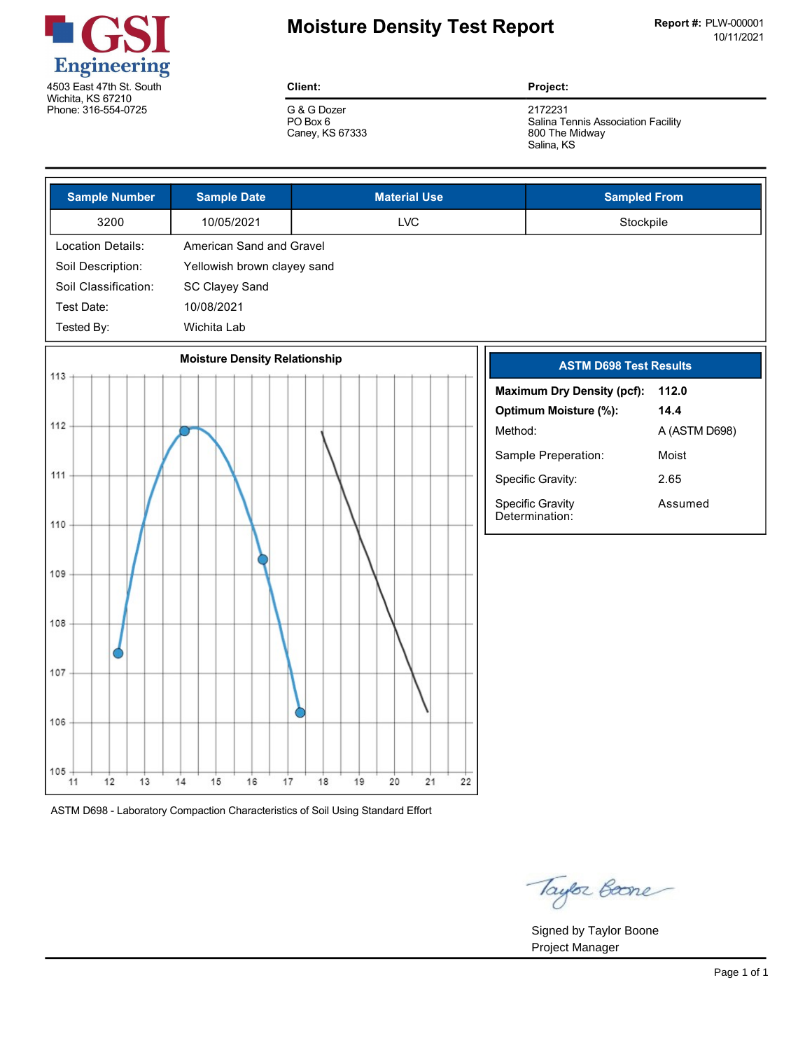

# **Moisture Density Test Report** Report Report #: PLW-000001

**Client:**

G & G Dozer PO Box 6 Caney, KS 67333 **Project:**

2172231 Salina Tennis Association Facility 800 The Midway Salina, KS

| <b>Sample Number</b>  | <b>Sample Date</b>                   | <b>Material Use</b>        | <b>Sampled From</b>                           |
|-----------------------|--------------------------------------|----------------------------|-----------------------------------------------|
| 3200                  | 10/05/2021                           | <b>LVC</b>                 | Stockpile                                     |
| Location Details:     | American Sand and Gravel             |                            |                                               |
| Soil Description:     | Yellowish brown clayey sand          |                            |                                               |
| Soil Classification:  | SC Clayey Sand                       |                            |                                               |
| Test Date:            | 10/08/2021                           |                            |                                               |
| Tested By:            | Wichita Lab                          |                            |                                               |
| 113                   | <b>Moisture Density Relationship</b> |                            | <b>ASTM D698 Test Results</b>                 |
|                       |                                      |                            | <b>Maximum Dry Density (pcf):</b><br>112.0    |
|                       |                                      |                            | Optimum Moisture (%):<br>14.4                 |
| 112                   |                                      | Method:                    | A (ASTM D698)                                 |
|                       |                                      |                            | Sample Preperation:<br>Moist                  |
| 111                   |                                      |                            | Specific Gravity:<br>2.65                     |
| 110                   |                                      |                            | Specific Gravity<br>Assumed<br>Determination: |
|                       |                                      |                            |                                               |
| 109                   |                                      |                            |                                               |
|                       |                                      |                            |                                               |
| 108                   |                                      |                            |                                               |
| 107                   |                                      |                            |                                               |
|                       |                                      |                            |                                               |
| 106                   |                                      |                            |                                               |
| 105<br>12<br>13<br>11 | 14<br>15<br>16<br>17                 | 20<br>21<br>22<br>18<br>19 |                                               |

ASTM D698 Laboratory Compaction Characteristics of Soil Using Standard Effort

Taylor Boone

Signed by Taylor Boone Project Manager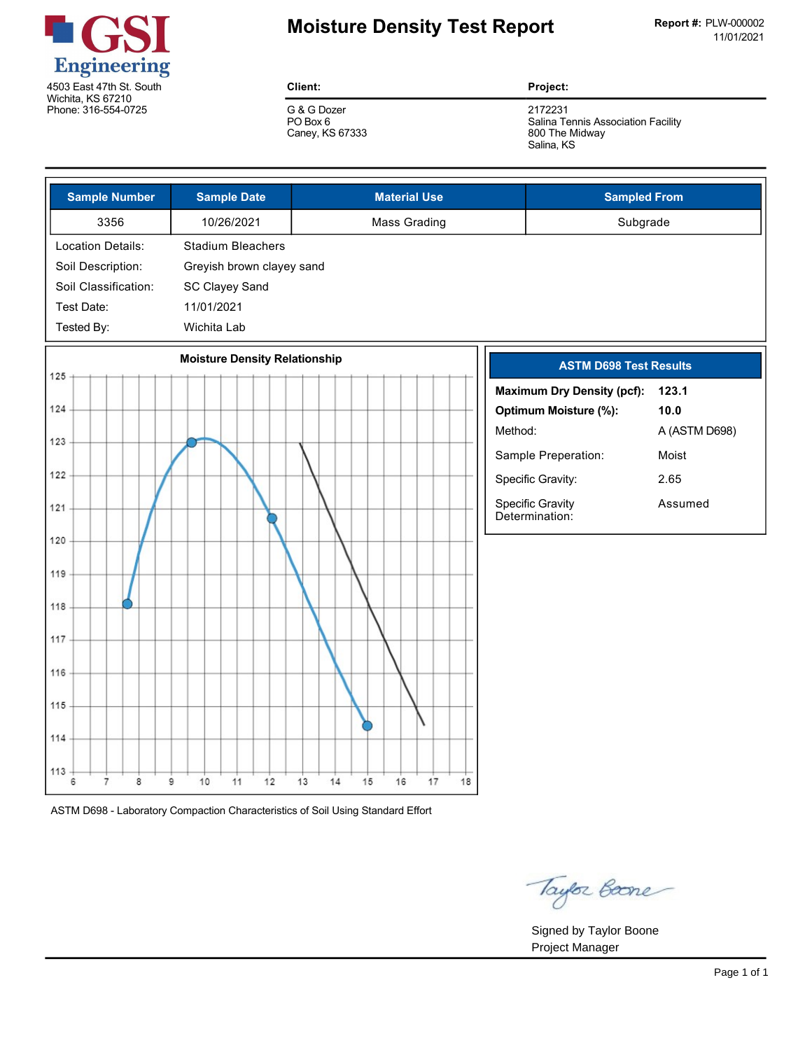

# **Moisture Density Test Report** Report Report #: PLW-000002

**Client:**

G & G Dozer PO Box 6 Caney, KS 67333 **Project:**

2172231 Salina Tennis Association Facility 800 The Midway Salina, KS

| <b>Sample Number</b>            | <b>Sample Date</b>                   | <b>Material Use</b>              | <b>Sampled From</b>                        |
|---------------------------------|--------------------------------------|----------------------------------|--------------------------------------------|
| 3356                            | 10/26/2021                           | <b>Mass Grading</b>              | Subgrade                                   |
| <b>Location Details:</b>        | <b>Stadium Bleachers</b>             |                                  |                                            |
| Soil Description:               | Greyish brown clayey sand            |                                  |                                            |
| Soil Classification:            | SC Clayey Sand                       |                                  |                                            |
| Test Date:                      | 11/01/2021                           |                                  |                                            |
| Tested By:                      | Wichita Lab                          |                                  |                                            |
| 125                             | <b>Moisture Density Relationship</b> |                                  | <b>ASTM D698 Test Results</b>              |
|                                 |                                      |                                  | <b>Maximum Dry Density (pcf):</b><br>123.1 |
| 124                             |                                      |                                  | Optimum Moisture (%):<br>10.0              |
| 123                             |                                      | Method:                          | A (ASTM D698)                              |
|                                 |                                      |                                  | Sample Preperation:<br>Moist               |
| 122                             |                                      |                                  | Specific Gravity:<br>2.65                  |
| 121                             |                                      |                                  | Specific Gravity<br>Assumed                |
|                                 |                                      |                                  | Determination:                             |
| 120                             |                                      |                                  |                                            |
| 119                             |                                      |                                  |                                            |
|                                 |                                      |                                  |                                            |
| 118                             |                                      |                                  |                                            |
| 117                             |                                      |                                  |                                            |
| 116                             |                                      |                                  |                                            |
|                                 |                                      |                                  |                                            |
| 115                             |                                      |                                  |                                            |
| 114                             |                                      |                                  |                                            |
|                                 |                                      |                                  |                                            |
| 113<br>6<br>$\overline{7}$<br>8 | 10<br>12<br>9<br>11                  | 17<br>18<br>13<br>14<br>15<br>16 |                                            |
|                                 |                                      |                                  |                                            |

ASTM D698 Laboratory Compaction Characteristics of Soil Using Standard Effort

Taylor Boone

Signed by Taylor Boone Project Manager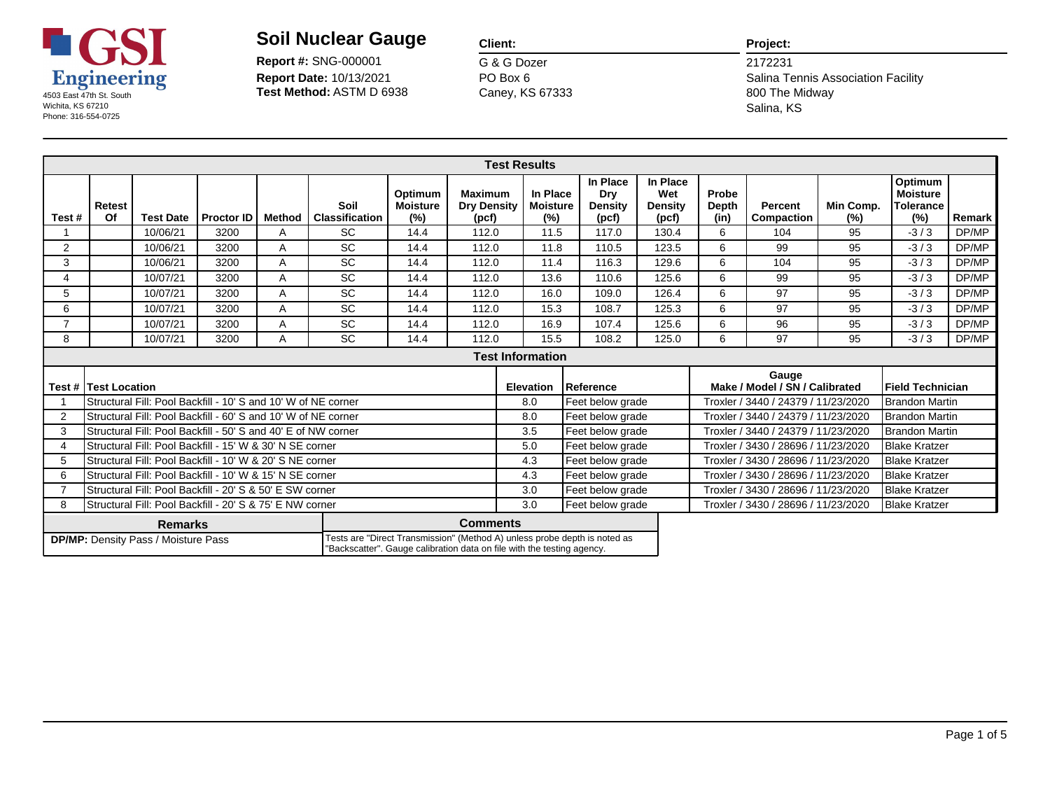

**Report Date:** 10/13/2021 **Report #:** SNG-000001

### **Client:**

G & G Dozer Caney, KS 67333 PO Box 6

#### **Project:**

|                |                                                                                                                                                                                                                                        |                                                               |                   |               |                               |                                      |                                               | <b>Test Results</b>                |                                     |                                     |                        |                                         |                     |                                                       |        |
|----------------|----------------------------------------------------------------------------------------------------------------------------------------------------------------------------------------------------------------------------------------|---------------------------------------------------------------|-------------------|---------------|-------------------------------|--------------------------------------|-----------------------------------------------|------------------------------------|-------------------------------------|-------------------------------------|------------------------|-----------------------------------------|---------------------|-------------------------------------------------------|--------|
| Test#          | Retest<br>Of                                                                                                                                                                                                                           | <b>Test Date</b>                                              | <b>Proctor ID</b> | <b>Method</b> | Soil<br><b>Classification</b> | Optimum<br><b>Moisture</b><br>$(\%)$ | <b>Maximum</b><br><b>Dry Density</b><br>(pcf) | In Place<br><b>Moisture</b><br>(%) | In Place<br>Dry<br>Density<br>(pcf) | In Place<br>Wet<br>Density<br>(pcf) | Probe<br>Depth<br>(in) | <b>Percent</b><br>Compaction            | Min Comp.<br>$(\%)$ | Optimum<br><b>Moisture</b><br><b>Tolerance</b><br>(%) | Remark |
|                |                                                                                                                                                                                                                                        | 10/06/21                                                      | 3200              | A             | <b>SC</b>                     | 14.4                                 | 112.0                                         | 11.5                               | 117.0                               | 130.4                               | 6                      | 104                                     | 95                  | $-3/3$                                                | DP/MP  |
| 2              |                                                                                                                                                                                                                                        | 10/06/21                                                      | 3200              | A             | <b>SC</b>                     | 14.4                                 | 112.0                                         | 11.8                               | 110.5                               | 123.5                               | 6                      | 99                                      | 95                  | $-3/3$                                                | DP/MP  |
| 3              |                                                                                                                                                                                                                                        | 10/06/21                                                      | 3200              | Α             | <b>SC</b>                     | 14.4                                 | 112.0                                         | 11.4                               | 116.3                               | 129.6                               | 6                      | 104                                     | 95                  | $-3/3$                                                | DP/MP  |
| 4              |                                                                                                                                                                                                                                        | 10/07/21                                                      | 3200              | A             | <b>SC</b>                     | 14.4                                 | 112.0                                         | 13.6                               | 110.6                               | 125.6                               | 6                      | 99                                      | 95                  | $-3/3$                                                | DP/MP  |
| 5              |                                                                                                                                                                                                                                        | 10/07/21                                                      | 3200              | A             | SC                            | 14.4                                 | 112.0                                         | 16.0                               | 109.0                               | 126.4                               | 6                      | 97                                      | 95                  | $-3/3$                                                | DP/MP  |
| 6              |                                                                                                                                                                                                                                        | 10/07/21                                                      | 3200              | A             | <b>SC</b>                     | 14.4                                 | 112.0                                         | 15.3                               | 108.7                               | 125.3                               | 6                      | 97                                      | 95                  | $-3/3$                                                | DP/MP  |
| $\overline{7}$ |                                                                                                                                                                                                                                        | 10/07/21                                                      | 3200              | Α             | SC                            | 14.4                                 | 112.0                                         | 16.9                               | 107.4                               | 125.6                               | 6                      | 96                                      | 95                  | $-3/3$                                                | DP/MP  |
| 8              |                                                                                                                                                                                                                                        | 10/07/21                                                      | 3200              | A             | <b>SC</b>                     | 14.4                                 | 112.0                                         | 15.5                               | 108.2                               | 125.0                               | 6                      | 97                                      | 95                  | $-3/3$                                                | DP/MP  |
|                |                                                                                                                                                                                                                                        |                                                               |                   |               |                               |                                      |                                               |                                    |                                     |                                     |                        |                                         |                     |                                                       |        |
|                | Test # lTest Location                                                                                                                                                                                                                  |                                                               |                   |               |                               |                                      |                                               | <b>Elevation</b>                   | Reference                           |                                     |                        | Gauge<br>Make / Model / SN / Calibrated |                     | Field Technician                                      |        |
|                |                                                                                                                                                                                                                                        | Structural Fill: Pool Backfill - 10' S and 10' W of NE corner |                   |               |                               |                                      |                                               | 8.0                                | Feet below grade                    |                                     |                        | Troxler / 3440 / 24379 / 11/23/2020     |                     | <b>Brandon Martin</b>                                 |        |
| $\overline{2}$ |                                                                                                                                                                                                                                        | Structural Fill: Pool Backfill - 60' S and 10' W of NE corner |                   |               |                               |                                      |                                               | 8.0                                | Feet below grade                    |                                     |                        | Troxler / 3440 / 24379 / 11/23/2020     |                     | <b>Brandon Martin</b>                                 |        |
| 3              |                                                                                                                                                                                                                                        | Structural Fill: Pool Backfill - 50' S and 40' E of NW corner |                   |               |                               |                                      |                                               | 3.5                                | Feet below grade                    |                                     |                        | Troxler / 3440 / 24379 / 11/23/2020     |                     | Brandon Martin                                        |        |
|                |                                                                                                                                                                                                                                        | Structural Fill: Pool Backfill - 15' W & 30' N SE corner      |                   |               |                               |                                      |                                               | 5.0                                | Feet below grade                    |                                     |                        | Troxler / 3430 / 28696 / 11/23/2020     |                     | <b>Blake Kratzer</b>                                  |        |
| 5              |                                                                                                                                                                                                                                        | Structural Fill: Pool Backfill - 10' W & 20' S NE corner      |                   |               |                               |                                      |                                               | 4.3                                | Feet below grade                    |                                     |                        | Troxler / 3430 / 28696 / 11/23/2020     |                     | <b>Blake Kratzer</b>                                  |        |
| 6              | Structural Fill: Pool Backfill - 10' W & 15' N SE corner                                                                                                                                                                               |                                                               |                   |               |                               |                                      |                                               |                                    | Feet below grade                    |                                     |                        | Troxler / 3430 / 28696 / 11/23/2020     |                     | <b>Blake Kratzer</b>                                  |        |
|                |                                                                                                                                                                                                                                        | Structural Fill: Pool Backfill - 20' S & 50' E SW corner      |                   |               |                               |                                      |                                               | 3.0<br>Feet below grade            |                                     |                                     |                        | Troxler / 3430 / 28696 / 11/23/2020     |                     | <b>Blake Kratzer</b>                                  |        |
| 8              |                                                                                                                                                                                                                                        | Structural Fill: Pool Backfill - 20' S & 75' E NW corner      |                   |               |                               |                                      |                                               | 3.0                                | Feet below grade                    |                                     |                        | Troxler / 3430 / 28696 / 11/23/2020     |                     | <b>Blake Kratzer</b>                                  |        |
|                | <b>Comments</b><br><b>Remarks</b><br>Tests are "Direct Transmission" (Method A) unless probe depth is noted as<br><b>DP/MP:</b> Density Pass / Moisture Pass<br>"Backscatter". Gauge calibration data on file with the testing agency. |                                                               |                   |               |                               |                                      |                                               |                                    |                                     |                                     |                        |                                         |                     |                                                       |        |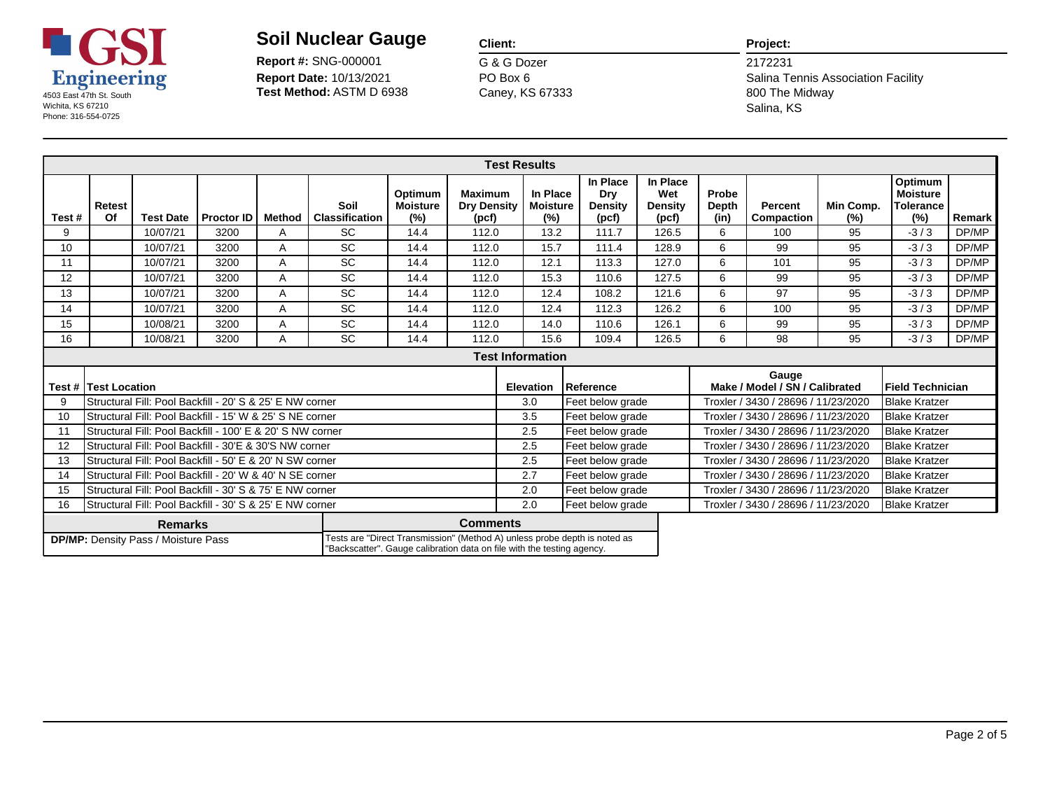

**Report Date:** 10/13/2021 **Report #:** SNG-000001

### **Client:**

G & G Dozer Caney, KS 67333 PO Box 6

#### **Project:**

|       |                                                                                                                                                                                                                                        |                                                           |                   |               |                               |                                   |                                               | <b>Test Results</b>                |                                     |                                     |                                     |                               |                                         |                  |                                                |        |
|-------|----------------------------------------------------------------------------------------------------------------------------------------------------------------------------------------------------------------------------------------|-----------------------------------------------------------|-------------------|---------------|-------------------------------|-----------------------------------|-----------------------------------------------|------------------------------------|-------------------------------------|-------------------------------------|-------------------------------------|-------------------------------|-----------------------------------------|------------------|------------------------------------------------|--------|
| Test# | <b>Retest</b><br>Of                                                                                                                                                                                                                    | <b>Test Date</b>                                          | <b>Proctor ID</b> | <b>Method</b> | Soil<br><b>Classification</b> | Optimum<br><b>Moisture</b><br>(%) | <b>Maximum</b><br><b>Dry Density</b><br>(pcf) | In Place<br><b>Moisture</b><br>(%) | In Place<br>Dry<br>Density<br>(pcf) |                                     | In Place<br>Wet<br>Density<br>(pcf) | Probe<br><b>Depth</b><br>(in) | <b>Percent</b><br><b>Compaction</b>     | Min Comp.<br>(%) | Optimum<br><b>Moisture</b><br>Tolerance<br>(%) | Remark |
| 9     |                                                                                                                                                                                                                                        | 10/07/21                                                  | 3200              | A             | <b>SC</b>                     | 14.4                              | 112.0                                         | 13.2                               | 111.7                               |                                     | 126.5                               | 6                             | 100                                     | 95               | $-3/3$                                         | DP/MP  |
| 10    |                                                                                                                                                                                                                                        | 10/07/21                                                  | 3200              | A             | <b>SC</b>                     | 14.4                              | 112.0                                         | 15.7                               | 111.4                               |                                     | 128.9                               | 6                             | 99                                      | 95               | $-3/3$                                         | DP/MP  |
| 11    |                                                                                                                                                                                                                                        | 10/07/21                                                  | 3200              | A             | <b>SC</b>                     | 14.4                              | 112.0                                         | 12.1                               | 113.3                               |                                     | 127.0                               | 6                             | 101                                     | 95               | $-3/3$                                         | DP/MP  |
| 12    |                                                                                                                                                                                                                                        | 10/07/21                                                  | 3200              | A             | <b>SC</b>                     | 14.4                              | 112.0                                         | 15.3                               | 110.6                               |                                     | 127.5                               | 6                             | 99                                      | 95               | $-3/3$                                         | DP/MP  |
| 13    |                                                                                                                                                                                                                                        | 10/07/21                                                  | 3200              | A             | <b>SC</b>                     | 14.4                              | 112.0                                         | 12.4                               | 108.2                               |                                     | 121.6                               | 6                             | 97                                      | 95               | $-3/3$                                         | DP/MP  |
| 14    |                                                                                                                                                                                                                                        | 10/07/21                                                  | 3200              | A             | <b>SC</b>                     | 14.4                              | 112.0                                         | 12.4                               | 112.3                               |                                     | 126.2                               | 6                             | 100                                     | 95               | $-3/3$                                         | DP/MP  |
| 15    |                                                                                                                                                                                                                                        | 10/08/21                                                  | 3200              | A             | <b>SC</b>                     | 14.4                              | 112.0                                         | 14.0                               | 110.6                               |                                     | 126.1                               | 6                             | 99                                      | 95               | $-3/3$                                         | DP/MP  |
| 16    |                                                                                                                                                                                                                                        | 10/08/21                                                  | 3200              | A             | <b>SC</b>                     | 14.4                              | 112.0                                         | 15.6                               | 109.4                               |                                     | 126.5                               | 6                             | 98                                      | 95               | $-3/3$                                         | DP/MP  |
|       |                                                                                                                                                                                                                                        |                                                           |                   |               |                               |                                   |                                               |                                    |                                     |                                     |                                     |                               |                                         |                  |                                                |        |
|       | <b>Test #   Test Location</b>                                                                                                                                                                                                          |                                                           |                   |               |                               |                                   |                                               | <b>Elevation</b>                   | Reference                           |                                     |                                     |                               | Gauge<br>Make / Model / SN / Calibrated |                  | Field Technician                               |        |
| 9     |                                                                                                                                                                                                                                        | Structural Fill: Pool Backfill - 20' S & 25' E NW corner  |                   |               |                               |                                   |                                               | 3.0                                | Feet below grade                    |                                     |                                     |                               | Troxler / 3430 / 28696 / 11/23/2020     |                  | Blake Kratzer                                  |        |
| 10    |                                                                                                                                                                                                                                        | Structural Fill: Pool Backfill - 15' W & 25' S NE corner  |                   |               |                               |                                   |                                               | 3.5                                | Feet below grade                    |                                     |                                     |                               | Troxler / 3430 / 28696 / 11/23/2020     |                  | <b>Blake Kratzer</b>                           |        |
| 11    |                                                                                                                                                                                                                                        | Structural Fill: Pool Backfill - 100' E & 20' S NW corner |                   |               |                               |                                   |                                               | 2.5                                | Feet below grade                    |                                     |                                     |                               | Troxler / 3430 / 28696 / 11/23/2020     |                  | <b>Blake Kratzer</b>                           |        |
| 12    |                                                                                                                                                                                                                                        | Structural Fill: Pool Backfill - 30'E & 30'S NW corner    |                   |               |                               |                                   |                                               | 2.5                                | Feet below grade                    |                                     |                                     |                               | Troxler / 3430 / 28696 / 11/23/2020     |                  | Blake Kratzer                                  |        |
| 13    |                                                                                                                                                                                                                                        | Structural Fill: Pool Backfill - 50' E & 20' N SW corner  |                   |               |                               |                                   |                                               | 2.5                                | Feet below grade                    |                                     |                                     |                               | Troxler / 3430 / 28696 / 11/23/2020     |                  | <b>Blake Kratzer</b>                           |        |
| 14    |                                                                                                                                                                                                                                        | Structural Fill: Pool Backfill - 20' W & 40' N SE corner  |                   |               | 2.7                           | Feet below grade                  |                                               |                                    |                                     | Troxler / 3430 / 28696 / 11/23/2020 |                                     | <b>Blake Kratzer</b>          |                                         |                  |                                                |        |
| 15    |                                                                                                                                                                                                                                        | Structural Fill: Pool Backfill - 30' S & 75' E NW corner  |                   |               |                               |                                   |                                               | 2.0<br>Feet below grade            |                                     |                                     |                                     |                               | Troxler / 3430 / 28696 / 11/23/2020     |                  | <b>Blake Kratzer</b>                           |        |
| 16    |                                                                                                                                                                                                                                        | Structural Fill: Pool Backfill - 30' S & 25' E NW corner  |                   |               |                               |                                   |                                               | 2.0                                | Feet below grade                    |                                     |                                     |                               | Troxler / 3430 / 28696 / 11/23/2020     |                  | <b>Blake Kratzer</b>                           |        |
|       | <b>Comments</b><br><b>Remarks</b><br>Tests are "Direct Transmission" (Method A) unless probe depth is noted as<br><b>DP/MP:</b> Density Pass / Moisture Pass<br>"Backscatter". Gauge calibration data on file with the testing agency. |                                                           |                   |               |                               |                                   |                                               |                                    |                                     |                                     |                                     |                               |                                         |                  |                                                |        |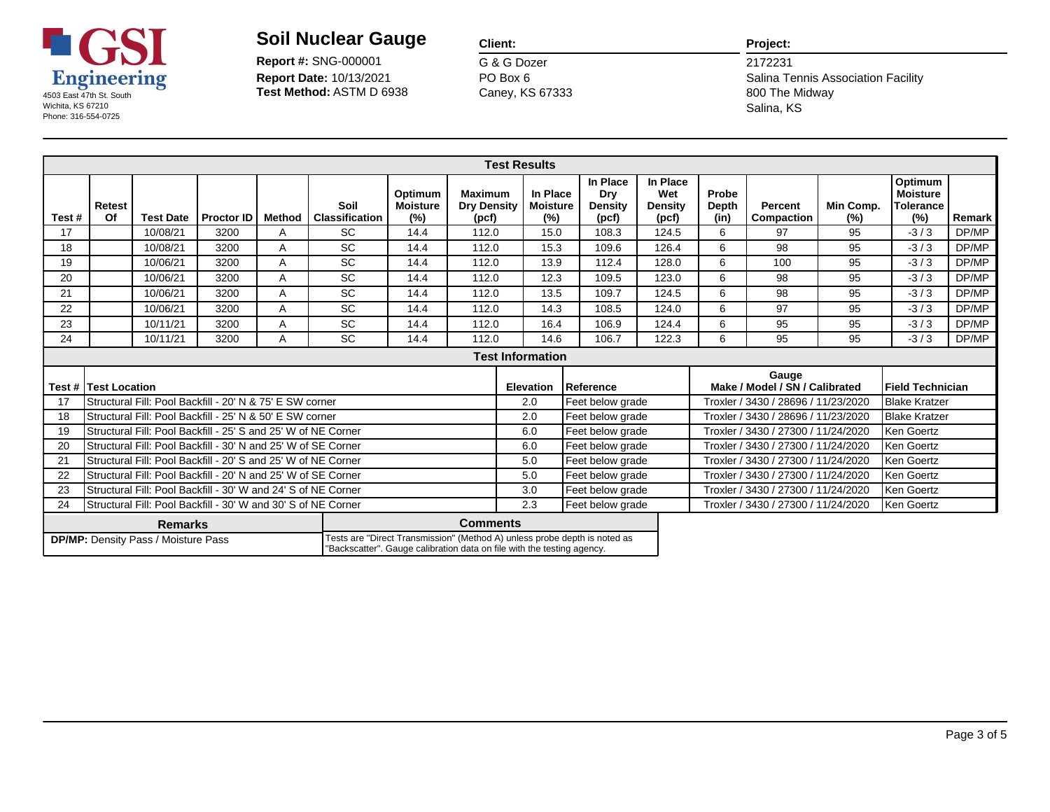

**Report Date:** 10/13/2021 **Report #:** SNG-000001

### **Client:**

G & G Dozer Caney, KS 67333 PO Box 6

#### **Project:**

|       |                                                                                                                                                                                                                                        |                                                               |                   |        |                               |                                   |                                               | <b>Test Results</b>                |                                     |                                     |                               |                                         |                  |                                                       |        |
|-------|----------------------------------------------------------------------------------------------------------------------------------------------------------------------------------------------------------------------------------------|---------------------------------------------------------------|-------------------|--------|-------------------------------|-----------------------------------|-----------------------------------------------|------------------------------------|-------------------------------------|-------------------------------------|-------------------------------|-----------------------------------------|------------------|-------------------------------------------------------|--------|
| Test# | Retest<br>Of                                                                                                                                                                                                                           | <b>Test Date</b>                                              | <b>Proctor ID</b> | Method | Soil<br><b>Classification</b> | Optimum<br><b>Moisture</b><br>(%) | <b>Maximum</b><br><b>Dry Density</b><br>(pcf) | In Place<br><b>Moisture</b><br>(%) | In Place<br>Dry<br>Density<br>(pcf) | In Place<br>Wet<br>Density<br>(pcf) | Probe<br><b>Depth</b><br>(in) | <b>Percent</b><br>Compaction            | Min Comp.<br>(%) | Optimum<br><b>Moisture</b><br><b>Tolerance</b><br>(%) | Remark |
| 17    |                                                                                                                                                                                                                                        | 10/08/21                                                      | 3200              | A      | <b>SC</b>                     | 14.4                              | 112.0                                         | 15.0                               | 108.3                               | 124.5                               | 6                             | 97                                      | 95               | $-3/3$                                                | DP/MP  |
| 18    |                                                                                                                                                                                                                                        | 10/08/21                                                      | 3200              | A      | <b>SC</b>                     | 14.4                              | 112.0                                         | 15.3                               | 109.6                               | 126.4                               | 6                             | 98                                      | 95               | $-3/3$                                                | DP/MP  |
| 19    |                                                                                                                                                                                                                                        | 10/06/21                                                      | 3200              | A      | SC                            | 14.4                              | 112.0                                         | 13.9                               | 112.4                               | 128.0                               | 6                             | 100                                     | 95               | $-3/3$                                                | DP/MP  |
| 20    |                                                                                                                                                                                                                                        | 10/06/21                                                      | 3200              | A      | SC                            | 14.4                              | 112.0                                         | 12.3                               | 109.5                               | 123.0                               | 6                             | 98                                      | 95               | $-3/3$                                                | DP/MP  |
| 21    |                                                                                                                                                                                                                                        | 10/06/21                                                      | 3200              | A      | <b>SC</b>                     | 14.4                              | 112.0                                         | 13.5                               | 109.7                               | 124.5                               | 6                             | 98                                      | 95               | $-3/3$                                                | DP/MP  |
| 22    |                                                                                                                                                                                                                                        | 10/06/21                                                      | 3200              | A      | <b>SC</b>                     | 14.4                              | 112.0                                         | 14.3                               | 108.5                               | 124.0                               | 6                             | 97                                      | 95               | $-3/3$                                                | DP/MP  |
| 23    |                                                                                                                                                                                                                                        | 10/11/21                                                      | 3200              | A      | <b>SC</b>                     | 14.4                              | 112.0                                         | 16.4                               | 106.9                               | 124.4                               | 6                             | 95                                      | 95               | $-3/3$                                                | DP/MP  |
| 24    |                                                                                                                                                                                                                                        | 10/11/21                                                      | 3200              | A      | <b>SC</b>                     | 14.4                              | 112.0                                         | 14.6                               | 106.7                               | 122.3                               | 6                             | 95                                      | 95               | $-3/3$                                                | DP/MP  |
|       |                                                                                                                                                                                                                                        |                                                               |                   |        |                               |                                   |                                               |                                    |                                     |                                     |                               |                                         |                  |                                                       |        |
|       | Test # ITest Location                                                                                                                                                                                                                  |                                                               |                   |        |                               |                                   |                                               | <b>Elevation</b>                   | Reference                           |                                     |                               | Gauge<br>Make / Model / SN / Calibrated |                  | Field Technician                                      |        |
| 17    |                                                                                                                                                                                                                                        | Structural Fill: Pool Backfill - 20' N & 75' E SW corner      |                   |        |                               |                                   |                                               | 2.0                                | Feet below grade                    |                                     |                               | Troxler / 3430 / 28696 / 11/23/2020     |                  | <b>Blake Kratzer</b>                                  |        |
| 18    |                                                                                                                                                                                                                                        | Structural Fill: Pool Backfill - 25' N & 50' E SW corner      |                   |        |                               |                                   |                                               | 2.0                                | Feet below grade                    |                                     |                               | Troxler / 3430 / 28696 / 11/23/2020     |                  | <b>Blake Kratzer</b>                                  |        |
| 19    |                                                                                                                                                                                                                                        | Structural Fill: Pool Backfill - 25' S and 25' W of NE Corner |                   |        |                               |                                   |                                               | 6.0                                | Feet below grade                    |                                     |                               | Troxler / 3430 / 27300 / 11/24/2020     |                  | Ken Goertz                                            |        |
| 20    |                                                                                                                                                                                                                                        | Structural Fill: Pool Backfill - 30' N and 25' W of SE Corner |                   |        |                               |                                   |                                               | 6.0<br>5.0                         | Feet below grade                    |                                     |                               | Troxler / 3430 / 27300 / 11/24/2020     |                  | IKen Goertz                                           |        |
|       | Structural Fill: Pool Backfill - 20' S and 25' W of NE Corner<br>21                                                                                                                                                                    |                                                               |                   |        |                               |                                   |                                               |                                    | Feet below grade                    |                                     |                               | Troxler / 3430 / 27300 / 11/24/2020     |                  | Ken Goertz                                            |        |
| 22    | Structural Fill: Pool Backfill - 20' N and 25' W of SE Corner<br>Structural Fill: Pool Backfill - 30' W and 24' S of NE Corner                                                                                                         |                                                               |                   |        |                               |                                   |                                               |                                    | Feet below grade                    |                                     |                               | Troxler / 3430 / 27300 / 11/24/2020     |                  | Ken Goertz                                            |        |
| 23    |                                                                                                                                                                                                                                        |                                                               |                   |        |                               |                                   |                                               | 3.0                                | Feet below grade                    |                                     |                               | Troxler / 3430 / 27300 / 11/24/2020     |                  | IKen Goertz                                           |        |
| 24    |                                                                                                                                                                                                                                        | Structural Fill: Pool Backfill - 30' W and 30' S of NE Corner |                   |        |                               |                                   |                                               | 2.3                                | Feet below grade                    |                                     |                               | Troxler / 3430 / 27300 / 11/24/2020     |                  | Ken Goertz                                            |        |
|       | <b>Comments</b><br><b>Remarks</b><br>Tests are "Direct Transmission" (Method A) unless probe depth is noted as<br><b>DP/MP:</b> Density Pass / Moisture Pass<br>"Backscatter". Gauge calibration data on file with the testing agency. |                                                               |                   |        |                               |                                   |                                               |                                    |                                     |                                     |                               |                                         |                  |                                                       |        |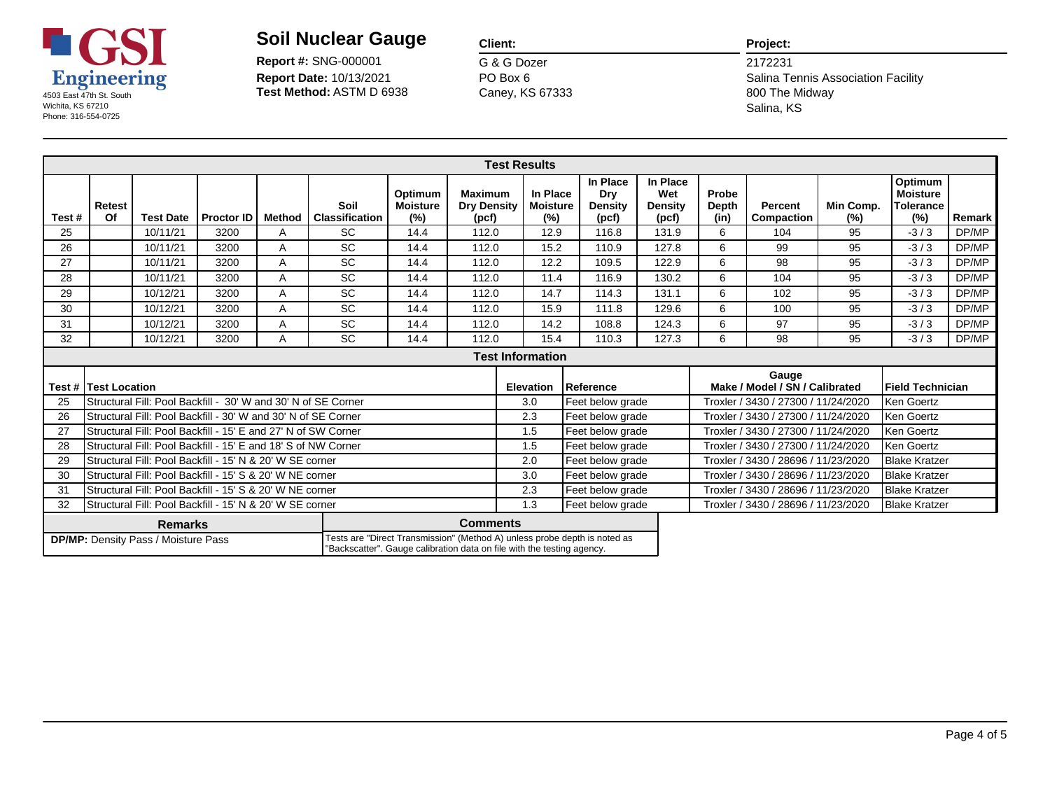

**Report Date:** 10/13/2021 **Report #:** SNG-000001

### **Client:**

G & G Dozer Caney, KS 67333 PO Box 6

#### **Project:**

|       |                                                                                                                                                                                                                                        |                                                               |                   |        |                               |                                   |                                               | <b>Test Results</b>                |                                     |                                     |                               |                                         |                  |                                                       |        |
|-------|----------------------------------------------------------------------------------------------------------------------------------------------------------------------------------------------------------------------------------------|---------------------------------------------------------------|-------------------|--------|-------------------------------|-----------------------------------|-----------------------------------------------|------------------------------------|-------------------------------------|-------------------------------------|-------------------------------|-----------------------------------------|------------------|-------------------------------------------------------|--------|
| Test# | <b>Retest</b><br>Of                                                                                                                                                                                                                    | <b>Test Date</b>                                              | <b>Proctor ID</b> | Method | Soil<br><b>Classification</b> | Optimum<br><b>Moisture</b><br>(%) | <b>Maximum</b><br><b>Dry Density</b><br>(pcf) | In Place<br><b>Moisture</b><br>(%) | In Place<br>Dry<br>Density<br>(pcf) | In Place<br>Wet<br>Density<br>(pcf) | Probe<br><b>Depth</b><br>(in) | <b>Percent</b><br>Compaction            | Min Comp.<br>(%) | Optimum<br><b>Moisture</b><br><b>Tolerance</b><br>(%) | Remark |
| 25    |                                                                                                                                                                                                                                        | 10/11/21                                                      | 3200              | A      | <b>SC</b>                     | 14.4                              | 112.0                                         | 12.9                               | 116.8                               | 131.9                               | 6                             | 104                                     | 95               | $-3/3$                                                | DP/MP  |
| 26    |                                                                                                                                                                                                                                        | 10/11/21                                                      | 3200              | A      | <b>SC</b>                     | 14.4                              | 112.0                                         | 15.2                               | 110.9                               | 127.8                               | 6                             | 99                                      | 95               | $-3/3$                                                | DP/MP  |
| 27    |                                                                                                                                                                                                                                        | 10/11/21                                                      | 3200              | A      | <b>SC</b>                     | 14.4                              | 112.0                                         | 12.2                               | 109.5                               | 122.9                               | 6                             | 98                                      | 95               | $-3/3$                                                | DP/MP  |
| 28    |                                                                                                                                                                                                                                        | 10/11/21                                                      | 3200              | A      | <b>SC</b>                     | 14.4                              | 112.0                                         | 11.4                               | 116.9                               | 130.2                               | 6                             | 104                                     | 95               | $-3/3$                                                | DP/MP  |
| 29    |                                                                                                                                                                                                                                        | 10/12/21                                                      | 3200              | A      | <b>SC</b>                     | 14.4                              | 112.0                                         | 14.7                               | 114.3                               | 131.1                               | 6                             | 102                                     | 95               | $-3/3$                                                | DP/MP  |
| 30    |                                                                                                                                                                                                                                        | 10/12/21                                                      | 3200              | A      | <b>SC</b>                     | 14.4                              | 112.0                                         | 15.9                               | 111.8                               | 129.6                               | 6                             | 100                                     | 95               | $-3/3$                                                | DP/MP  |
| 31    |                                                                                                                                                                                                                                        | 10/12/21                                                      | 3200              | A      | <b>SC</b>                     | 14.4                              | 112.0                                         | 14.2                               | 108.8                               | 124.3                               | 6                             | 97                                      | 95               | $-3/3$                                                | DP/MP  |
| 32    |                                                                                                                                                                                                                                        | 10/12/21                                                      | 3200              | A      | <b>SC</b>                     | 14.4                              | 112.0                                         | 15.4                               | 110.3                               | 127.3                               | 6                             | 98                                      | 95               | $-3/3$                                                | DP/MP  |
|       |                                                                                                                                                                                                                                        |                                                               |                   |        |                               |                                   |                                               |                                    |                                     |                                     |                               |                                         |                  |                                                       |        |
|       | Test # lTest Location                                                                                                                                                                                                                  |                                                               |                   |        |                               |                                   |                                               | <b>Elevation</b>                   | Reference                           |                                     |                               | Gauge<br>Make / Model / SN / Calibrated |                  | Field Technician                                      |        |
| 25    |                                                                                                                                                                                                                                        | Structural Fill: Pool Backfill - 30' W and 30' N of SE Corner |                   |        |                               |                                   |                                               | 3.0                                | Feet below grade                    |                                     |                               | Troxler / 3430 / 27300 / 11/24/2020     |                  | Ken Goertz                                            |        |
| 26    |                                                                                                                                                                                                                                        | Structural Fill: Pool Backfill - 30' W and 30' N of SE Corner |                   |        |                               |                                   |                                               | 2.3                                | Feet below grade                    |                                     |                               | Troxler / 3430 / 27300 / 11/24/2020     |                  | Ken Goertz                                            |        |
| 27    |                                                                                                                                                                                                                                        | Structural Fill: Pool Backfill - 15' E and 27' N of SW Corner |                   |        |                               |                                   |                                               | 1.5                                | Feet below grade                    |                                     |                               | Troxler / 3430 / 27300 / 11/24/2020     |                  | Ken Goertz                                            |        |
| 28    |                                                                                                                                                                                                                                        | Structural Fill: Pool Backfill - 15' E and 18' S of NW Corner |                   |        |                               |                                   |                                               | 1.5                                | Feet below grade                    |                                     |                               | Troxler / 3430 / 27300 / 11/24/2020     |                  | Ken Goertz                                            |        |
| 29    |                                                                                                                                                                                                                                        | Structural Fill: Pool Backfill - 15' N & 20' W SE corner      |                   |        |                               |                                   |                                               | 2.0<br>3.0                         | Feet below grade                    |                                     |                               | Troxler / 3430 / 28696 / 11/23/2020     |                  | <b>Blake Kratzer</b>                                  |        |
| 30    | Structural Fill: Pool Backfill - 15' S & 20' W NE corner                                                                                                                                                                               |                                                               |                   |        |                               |                                   |                                               |                                    | Feet below grade                    |                                     |                               | Troxler / 3430 / 28696 / 11/23/2020     |                  | <b>Blake Kratzer</b>                                  |        |
| 31    |                                                                                                                                                                                                                                        | Structural Fill: Pool Backfill - 15' S & 20' W NE corner      |                   |        |                               |                                   |                                               | 2.3                                | Feet below grade                    |                                     |                               | Troxler / 3430 / 28696 / 11/23/2020     |                  | <b>Blake Kratzer</b>                                  |        |
| 32    |                                                                                                                                                                                                                                        | Structural Fill: Pool Backfill - 15' N & 20' W SE corner      |                   |        |                               |                                   |                                               | 1.3                                | Feet below grade                    |                                     |                               | Troxler / 3430 / 28696 / 11/23/2020     |                  | <b>Blake Kratzer</b>                                  |        |
|       | <b>Comments</b><br><b>Remarks</b><br>Tests are "Direct Transmission" (Method A) unless probe depth is noted as<br><b>DP/MP:</b> Density Pass / Moisture Pass<br>"Backscatter". Gauge calibration data on file with the testing agency. |                                                               |                   |        |                               |                                   |                                               |                                    |                                     |                                     |                               |                                         |                  |                                                       |        |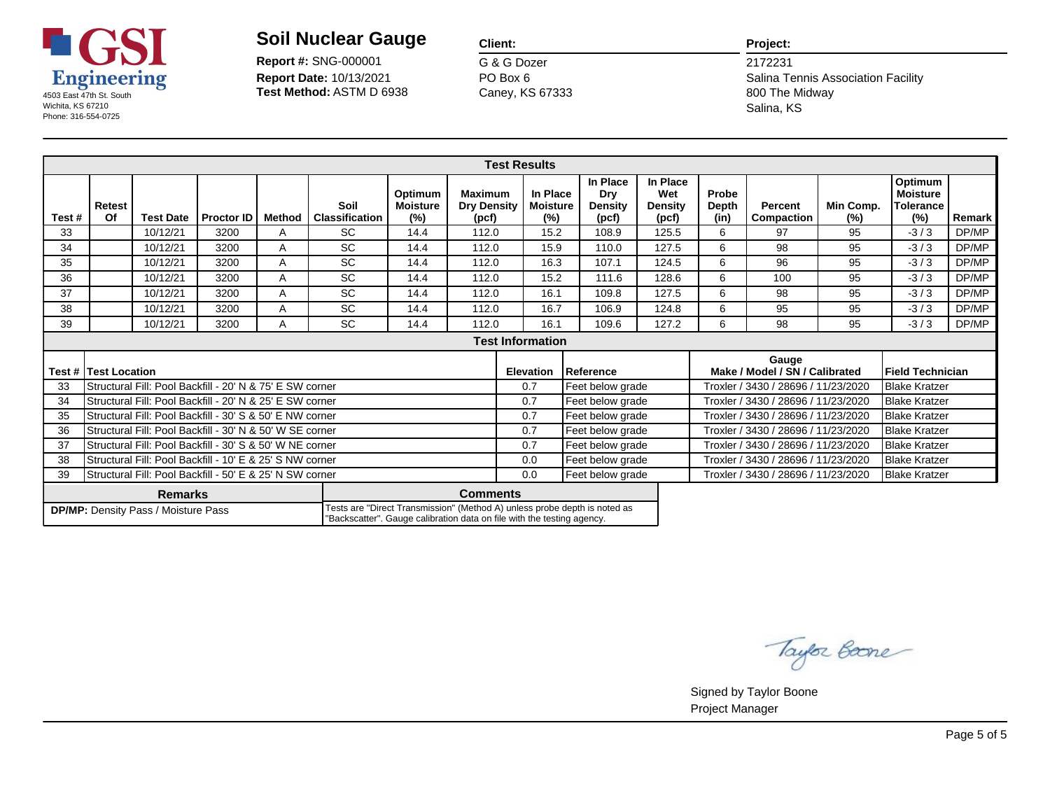

**Report Date:** 10/13/2021 **Report #:** SNG-000001

#### **Client:**

G & G Dozer Caney, KS 67333 PO Box 6

#### **Project:**

Salina Tennis Association Facility 2172231 Salina, KS

| Test# | Retest<br>Of                                                                                                                                                                                                                           | <b>Test Date</b>                                         | <b>Proctor ID</b> | <b>Method</b> | Soil<br><b>Classification</b> | Optimum<br><b>Moisture</b><br>$(\%)$ | <b>Maximum</b><br><b>Dry Density</b><br>(pcf) | <b>Test Results</b><br>In Place<br><b>Moisture</b><br>(%) |  | In Place<br>Dry<br>Density<br>(pcf) | In Place<br>Wet<br><b>Density</b><br>(pcf) | Probe<br>Depth<br>(in)              | Percent<br>Compaction                   | Min Comp.<br>(%)     | Optimum<br><b>Moisture</b><br><b>Tolerance</b><br>(%) | Remark |
|-------|----------------------------------------------------------------------------------------------------------------------------------------------------------------------------------------------------------------------------------------|----------------------------------------------------------|-------------------|---------------|-------------------------------|--------------------------------------|-----------------------------------------------|-----------------------------------------------------------|--|-------------------------------------|--------------------------------------------|-------------------------------------|-----------------------------------------|----------------------|-------------------------------------------------------|--------|
| 33    |                                                                                                                                                                                                                                        | 10/12/21                                                 | 3200              | A             | <b>SC</b>                     | 14.4                                 | 112.0                                         | 15.2                                                      |  | 108.9                               | 125.5                                      | 6                                   | 97                                      | 95                   | $-3/3$                                                | DP/MP  |
| 34    |                                                                                                                                                                                                                                        | 10/12/21                                                 | 3200              | A             | <b>SC</b>                     | 14.4                                 | 112.0                                         | 15.9                                                      |  | 110.0                               | 127.5                                      | 6                                   | 98                                      | 95                   | $-3/3$                                                | DP/MP  |
| 35    |                                                                                                                                                                                                                                        | 10/12/21                                                 | 3200              | A             | <b>SC</b>                     | 14.4                                 | 112.0                                         | 16.3                                                      |  | 107.1                               | 124.5                                      | 6                                   | 96                                      | 95                   | $-3/3$                                                | DP/MP  |
| 36    |                                                                                                                                                                                                                                        | 10/12/21                                                 | 3200              | A             | <b>SC</b>                     | 14.4                                 | 112.0                                         | 15.2                                                      |  | 111.6                               | 128.6                                      | 6                                   | 100                                     | 95                   | $-3/3$                                                | DP/MP  |
| 37    |                                                                                                                                                                                                                                        | 10/12/21                                                 | 3200              | A             | <b>SC</b>                     | 14.4                                 | 112.0                                         | 16.1                                                      |  | 109.8                               | 127.5                                      | 6                                   | 98                                      | 95                   | $-3/3$                                                | DP/MP  |
| 38    |                                                                                                                                                                                                                                        | 10/12/21                                                 | 3200              | A             | <b>SC</b>                     | 14.4                                 | 112.0                                         | 16.7                                                      |  | 106.9                               | 124.8                                      | 6                                   | 95                                      | 95                   | $-3/3$                                                | DP/MP  |
| 39    |                                                                                                                                                                                                                                        | 10/12/21                                                 | 3200              | A             | <b>SC</b>                     | 14.4                                 | 112.0                                         | 16.1                                                      |  | 109.6                               | 127.2                                      | 6                                   | 98                                      | 95                   | $-3/3$                                                | DP/MP  |
|       |                                                                                                                                                                                                                                        |                                                          |                   |               |                               |                                      |                                               |                                                           |  |                                     |                                            |                                     |                                         |                      |                                                       |        |
|       | <b>Test # ITest Location</b>                                                                                                                                                                                                           |                                                          |                   |               |                               |                                      |                                               | <b>Elevation</b>                                          |  | Reference                           |                                            |                                     | Gauge<br>Make / Model / SN / Calibrated |                      | Field Technician                                      |        |
| 33    |                                                                                                                                                                                                                                        | Structural Fill: Pool Backfill - 20' N & 75' E SW corner |                   |               |                               |                                      |                                               | 0.7                                                       |  | Feet below grade                    |                                            | Troxler / 3430 / 28696 / 11/23/2020 |                                         |                      | <b>Blake Kratzer</b>                                  |        |
| 34    |                                                                                                                                                                                                                                        | Structural Fill: Pool Backfill - 20' N & 25' E SW corner |                   |               |                               |                                      |                                               | 0.7                                                       |  | Feet below grade                    |                                            | Troxler / 3430 / 28696 / 11/23/2020 |                                         |                      | <b>Blake Kratzer</b>                                  |        |
| 35    |                                                                                                                                                                                                                                        | Structural Fill: Pool Backfill - 30' S & 50' E NW corner |                   |               |                               |                                      |                                               | 0.7                                                       |  | Feet below grade                    |                                            |                                     | Troxler / 3430 / 28696 / 11/23/2020     |                      | <b>Blake Kratzer</b>                                  |        |
| 36    |                                                                                                                                                                                                                                        | Structural Fill: Pool Backfill - 30' N & 50' W SE corner |                   |               |                               |                                      |                                               | 0.7<br>0.7                                                |  | Feet below grade                    |                                            |                                     | Troxler / 3430 / 28696 / 11/23/2020     |                      | <b>Blake Kratzer</b>                                  |        |
| 37    | Structural Fill: Pool Backfill - 30' S & 50' W NE corner                                                                                                                                                                               |                                                          |                   |               |                               |                                      |                                               |                                                           |  | Feet below grade                    |                                            |                                     | Troxler / 3430 / 28696 / 11/23/2020     |                      | <b>Blake Kratzer</b>                                  |        |
| 38    | Structural Fill: Pool Backfill - 10' E & 25' S NW corner                                                                                                                                                                               |                                                          |                   |               |                               |                                      |                                               | Feet below grade<br>0.0                                   |  |                                     |                                            | Troxler / 3430 / 28696 / 11/23/2020 |                                         | <b>Blake Kratzer</b> |                                                       |        |
| 39    |                                                                                                                                                                                                                                        | Structural Fill: Pool Backfill - 50' E & 25' N SW corner |                   |               |                               |                                      |                                               | 0.0                                                       |  | Feet below grade                    |                                            |                                     | Troxler / 3430 / 28696 / 11/23/2020     |                      | <b>Blake Kratzer</b>                                  |        |
|       | <b>Comments</b><br><b>Remarks</b><br>Tests are "Direct Transmission" (Method A) unless probe depth is noted as<br><b>DP/MP:</b> Density Pass / Moisture Pass<br>"Backscatter". Gauge calibration data on file with the testing agency. |                                                          |                   |               |                               |                                      |                                               |                                                           |  |                                     |                                            |                                     |                                         |                      |                                                       |        |

Taylor Boone

Signed by Taylor Boone Project Manager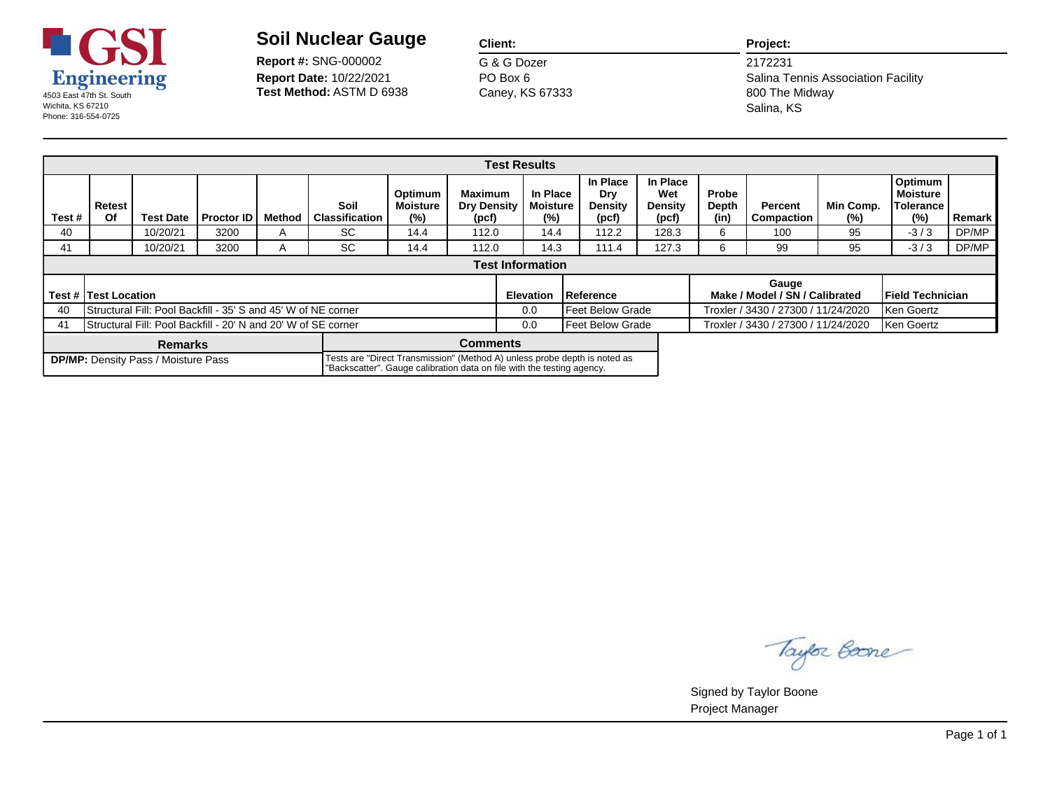

**Report Date:** 10/22/2021 **Report #:** SNG-000002

#### **Client:**

G & G Dozer Caney, KS 67333 PO Box 6

#### **Project:**

Salina Tennis Association Facility 2172231 Salina, KS

|       |                                                                                                                                                                                                   |                                                               |                   |        |                               |                                      |                                        |  | <b>Test Results</b>                |                                            |                                     |                                                   |                                         |                     |                                         |        |
|-------|---------------------------------------------------------------------------------------------------------------------------------------------------------------------------------------------------|---------------------------------------------------------------|-------------------|--------|-------------------------------|--------------------------------------|----------------------------------------|--|------------------------------------|--------------------------------------------|-------------------------------------|---------------------------------------------------|-----------------------------------------|---------------------|-----------------------------------------|--------|
| Test# | Retest<br>Of                                                                                                                                                                                      | <b>Test Date</b>                                              | <b>Proctor ID</b> | Method | Soil<br><b>Classification</b> | Optimum<br><b>Moisture</b><br>$(\%)$ | Maximum<br><b>Dry Density</b><br>(pcf) |  | In Place<br><b>Moisture</b><br>(%) | In Place<br>Dry<br><b>Density</b><br>(pcf) | In Place<br>Wet<br>Density<br>(pcf) | Probe<br>Depth<br>(in)                            | Percent<br>Compaction                   | Min Comp.<br>$(\%)$ | Optimum<br>Moisture<br>Tolerance<br>(%) | Remark |
| 40    |                                                                                                                                                                                                   | 10/20/21                                                      | 3200              | A      | SC.                           | 14.4                                 | 112.0                                  |  | 14.4                               | 112.2                                      | 128.3                               | 6                                                 | 100                                     | 95                  | $-3/3$                                  | DP/MP  |
| 41    |                                                                                                                                                                                                   | 10/20/21                                                      | 3200              | A      | SC.                           | 14.4                                 | 112.0                                  |  | 14.3                               | 111.4                                      | 127.3                               | 6                                                 | 99                                      | 95                  | $-3/3$                                  | DP/MP  |
|       |                                                                                                                                                                                                   |                                                               |                   |        |                               |                                      |                                        |  |                                    |                                            |                                     |                                                   |                                         |                     |                                         |        |
|       | <b>Test # Test Location</b>                                                                                                                                                                       |                                                               |                   |        |                               |                                      |                                        |  | <b>Elevation</b>                   | Reference                                  |                                     |                                                   | Gauge<br>Make / Model / SN / Calibrated |                     | <b>IField Technician</b>                |        |
| 40    |                                                                                                                                                                                                   | Structural Fill: Pool Backfill - 35' S and 45' W of NE corner |                   |        |                               |                                      |                                        |  | 0.0                                | Feet Below Grade                           |                                     | Troxler / 3430 / 27300 / 11/24/2020<br>Ken Goertz |                                         |                     |                                         |        |
| -41   | Structural Fill: Pool Backfill - 20' N and 20' W of SE corner<br>Feet Below Grade<br>0.0                                                                                                          |                                                               |                   |        |                               |                                      |                                        |  |                                    |                                            |                                     |                                                   | Troxler / 3430 / 27300 / 11/24/2020     |                     | Ken Goertz                              |        |
|       | Comments<br><b>Remarks</b>                                                                                                                                                                        |                                                               |                   |        |                               |                                      |                                        |  |                                    |                                            |                                     |                                                   |                                         |                     |                                         |        |
|       | Tests are "Direct Transmission" (Method A) unless probe depth is noted as<br><b>DP/MP:</b> Density Pass / Moisture Pass<br>"Backscatter". Gauge calibration data on file with the testing agency. |                                                               |                   |        |                               |                                      |                                        |  |                                    |                                            |                                     |                                                   |                                         |                     |                                         |        |

Taylor Boone

Signed by Taylor Boone Project Manager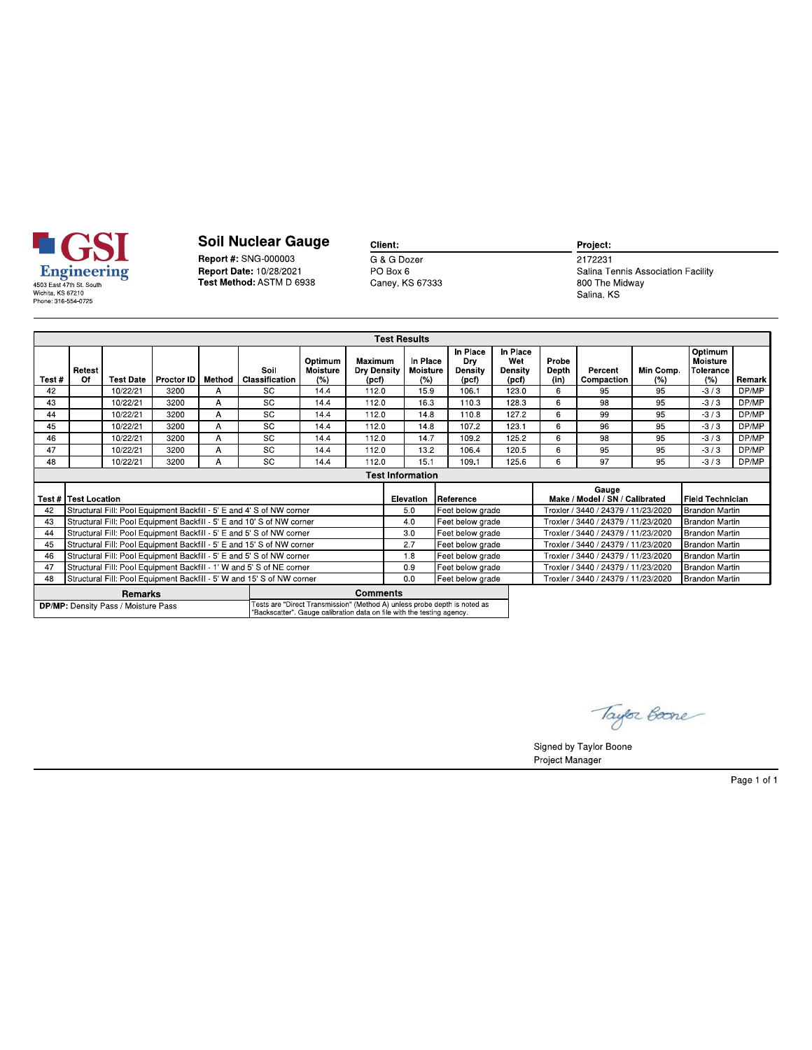

Report #: SNG-000003 Report Date: 10/28/2021<br>Test Method: ASTM D 6938 Client: G & G Dozer

PO Box 6<br>PO Box 6<br>Caney, KS 67333

Project:  $2172231$ 

Salina Tennis Association Facility 800 The Midway<br>Salina, KS

|       |                                                                             |                                            |                   |        |                                                                                                                                                     |                                   |                                        | <b>Test Results</b>                |                                            |                                     |                                     |                                         |                       |                                                |        |
|-------|-----------------------------------------------------------------------------|--------------------------------------------|-------------------|--------|-----------------------------------------------------------------------------------------------------------------------------------------------------|-----------------------------------|----------------------------------------|------------------------------------|--------------------------------------------|-------------------------------------|-------------------------------------|-----------------------------------------|-----------------------|------------------------------------------------|--------|
| Test# | Retest<br>Of                                                                | <b>Test Date</b>                           | Proctor <b>ID</b> | Method | Soil<br>Classification                                                                                                                              | Optimum<br><b>Moisture</b><br>(%) | Maximum<br><b>Dry Density</b><br>(pcf) | In Place<br><b>Moisture</b><br>(%) | In Place<br>Dry<br><b>Density</b><br>(pcf) | In Place<br>Wet<br>Density<br>(pcf) | Probe<br>Depth<br>(in)              | Percent<br>Compaction                   | Min Comp.<br>(%)      | Optimum<br><b>Moisture</b><br>Tolerance<br>(%) | Remark |
| 42    |                                                                             | 10/22/21                                   | 3200              | A      | <b>SC</b>                                                                                                                                           | 144                               | 1120                                   | 159                                | 106.1                                      | 123.0                               | 6                                   | 95                                      | 95                    | $-3/3$                                         | DP/MP  |
| 43    |                                                                             | 10/22/21                                   | 3200              | A      | <b>SC</b>                                                                                                                                           | 14.4                              | 112.0                                  | 163                                | 110.3                                      | 128.3                               | 6                                   | 98                                      | 95                    | 3/3                                            | DP/MP  |
| 44    |                                                                             | 10/22/21                                   | 3200              | A      | SC                                                                                                                                                  | 14.4                              | 112.0                                  | 14.8                               | 110.8                                      | 127.2                               | 6                                   | 99                                      | 95                    | $-3/3$                                         | DP/MP  |
| 45    |                                                                             | 10/22/21                                   | 3200              | A      | <b>SC</b>                                                                                                                                           | 144                               | 1120                                   | 148                                | 1072                                       | 1231                                | 6                                   | 96                                      | 95                    | 3/3                                            | DP/MP  |
| 46    |                                                                             | 10/22/21                                   | 3200              | A      | <b>SC</b>                                                                                                                                           | 144                               | 1120                                   | 147                                | 1092                                       | 125.2                               | 6                                   | 98                                      | 95                    | $-3/3$                                         | DP/MP  |
| 47    |                                                                             | 10/22/21                                   | 3200              | A      | SC                                                                                                                                                  | 14.4                              | 112.0                                  | 13.2                               | 106.4                                      | 120.5                               | 6                                   | 95                                      | 95                    | $-3/3$                                         | DP/MP  |
| 48    |                                                                             | 10/22/21                                   | 3200              | A      | <b>SC</b>                                                                                                                                           | 14.4                              | 112.0                                  | 15.1                               | 109.1                                      | 125.6                               | 6                                   | 97                                      | 95                    | $-3/3$                                         | DP/MP  |
|       |                                                                             |                                            |                   |        |                                                                                                                                                     |                                   |                                        |                                    |                                            |                                     |                                     |                                         |                       |                                                |        |
|       | <b>Test #   Test Location</b>                                               |                                            |                   |        |                                                                                                                                                     |                                   |                                        | <b>Elevation</b>                   | <b>Reference</b>                           |                                     |                                     | Gauge<br>Make / Model / SN / Calibrated |                       | l Field Technician                             |        |
| 42    |                                                                             |                                            |                   |        | Structural Fill: Pool Equipment Backfill - 5' E and 4' S of NW corner                                                                               |                                   |                                        | 5.0                                | Feet below grade                           |                                     |                                     | Troxler / 3440 / 24379 / 11/23/2020     |                       | <b>Brandon Martin</b>                          |        |
| 43    |                                                                             |                                            |                   |        | Structural Fill: Pool Equipment Backfill - 5' E and 10' S of NW corner                                                                              |                                   |                                        | 4.0                                | Feet below grade                           |                                     | Troxler / 3440 / 24379 / 11/23/2020 |                                         | <b>Brandon Martin</b> |                                                |        |
| 44    |                                                                             |                                            |                   |        | Structural Fill: Pool Equipment Backfill - 5' E and 5' S of NW corner                                                                               |                                   |                                        | 30                                 | Feet below grade                           |                                     | Troxler / 3440 / 24379 / 11/23/2020 |                                         |                       | <b>Brandon Martin</b>                          |        |
| 45    |                                                                             |                                            |                   |        | Structural Fill: Pool Equipment Backfill - 5' E and 15' S of NW corner                                                                              |                                   |                                        | 2.7<br>18                          | Feet below grade                           |                                     |                                     | Troxler / 3440 / 24379 / 11/23/2020     |                       | Brandon Martin                                 |        |
|       | Structural Fill: Pool Equipment Backfill - 5' E and 5' S of NW corner<br>46 |                                            |                   |        |                                                                                                                                                     |                                   |                                        |                                    | Feet below grade                           |                                     |                                     | Troxler / 3440 / 24379 / 11/23/2020     |                       | Brandon Martin                                 |        |
| 47    |                                                                             |                                            |                   |        | Structural Fill: Pool Equipment Backfill - 1' W and 5' S of NE corner                                                                               |                                   |                                        | 09<br>Feet below grade             |                                            |                                     |                                     | Troxler / 3440 / 24379 / 11/23/2020     |                       | Brandon Martin                                 |        |
| 48    |                                                                             |                                            |                   |        | Structural Fill: Pool Equipment Backfill - 5' W and 15' S of NW corner                                                                              |                                   |                                        | 0 <sub>0</sub>                     | Feet below grade                           |                                     |                                     | Troxler / 3440 / 24379 / 11/23/2020     |                       | <b>Brandon Martin</b>                          |        |
|       | Remarks                                                                     |                                            |                   |        |                                                                                                                                                     |                                   |                                        | <b>Comments</b>                    |                                            |                                     |                                     |                                         |                       |                                                |        |
|       |                                                                             | <b>DP/MP:</b> Density Pass / Moisture Pass |                   |        | Tests are "Direct Transmission" (Method A) unless probe depth is noted as<br>"Backscatter". Gauge calibration data on file with the testing agency. |                                   |                                        |                                    |                                            |                                     |                                     |                                         |                       |                                                |        |

Taylor Boone

Signed by Taylor Boone Project Manager

Page 1 of 1